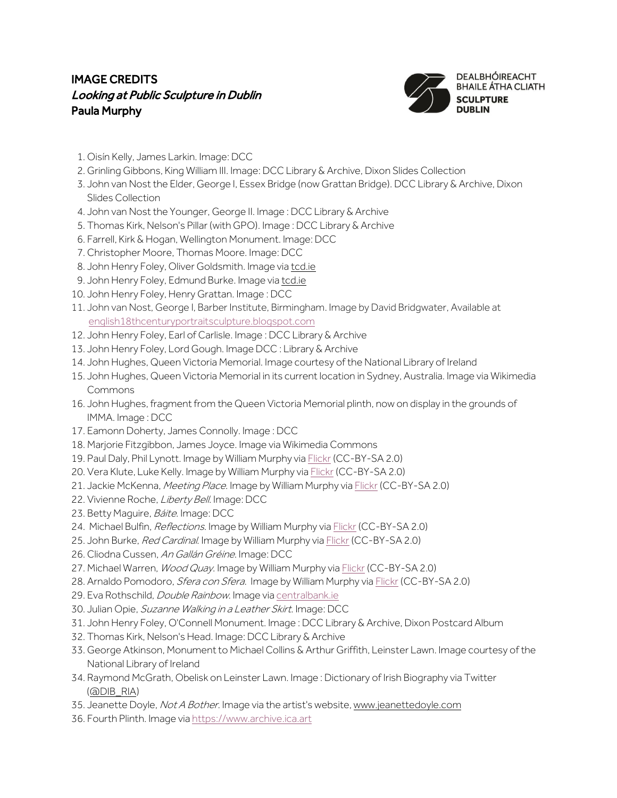## IMAGE CREDITS Looking at Public Sculpture in Dublin Paula Murphy



- 1. Oisín Kelly, James Larkin. Image: DCC
- 2. Grinling Gibbons, King William III. Image: DCC Library & Archive, Dixon Slides Collection
- 3. John van Nost the Elder, George I, Essex Bridge (now Grattan Bridge). DCC Library & Archive, Dixon Slides Collection
- 4. John van Nost the Younger, George II. Image : DCC Library & Archive
- 5. Thomas Kirk, Nelson's Pillar (with GPO). Image : DCC Library & Archive
- 6. Farrell, Kirk & Hogan, Wellington Monument. Image:DCC
- 7. Christopher Moore, Thomas Moore. Image: DCC
- 8. John Henry Foley, Oliver Goldsmith. Image vi[a tcd.ie](http://tcd.ie/)
- 9. John Henry Foley, Edmund Burke. Image vi[a tcd.ie](http://tcd.ie/)
- 10. John Henry Foley, Henry Grattan. Image : DCC
- 11. John van Nost, George I, Barber Institute, Birmingham. Image by David Bridgwater, Available at [english18thcenturyportraitsculpture.blogspot.com](https://english18thcenturyportraitsculpture.blogspot.com/2016/07/equestrian-statue-of-george-i-by-van.html)
- 12. John Henry Foley, Earl of Carlisle. Image : DCC Library & Archive
- 13. John Henry Foley, Lord Gough. Image DCC : Library & Archive
- 14. John Hughes, Queen Victoria Memorial. Image courtesy of the National Library of Ireland
- 15. John Hughes, Queen Victoria Memorial in its current location in Sydney, Australia. Image via Wikimedia Commons
- 16. John Hughes, fragment from the Queen Victoria Memorial plinth, now on display in the grounds of IMMA. Image : DCC
- 17. Eamonn Doherty, James Connolly. Image : DCC
- 18. Marjorie Fitzgibbon, James Joyce. Image via Wikimedia Commons
- 19. Paul Daly, Phil Lynott. Image by William Murphy vi[a Flickr](https://www.flickr.com/photos/infomatique/6984521941) (CC-BY-SA 2.0)
- 20. Vera Klute, Luke Kelly. Image by William Murphy vi[a Flickr](https://www.flickr.com/photos/infomatique/48964218187) (CC-BY-SA 2.0)
- 21. Jackie McKenna, Meeting Place. Image by William Murphy vi[a Flickr](https://www.flickr.com/photos/infomatique/43647970975) (CC-BY-SA 2.0)
- 22. Vivienne Roche, Liberty Bell. Image: DCC
- 23. Betty Maguire, Báite. Image: DCC
- 24. Michael Bulfin, Reflections. Image by William Murphy vi[a Flickr](https://www.flickr.com/photos/infomatique/48987097092) (CC-BY-SA 2.0)
- 25. John Burke, Red Cardinal. Image by William Murphy via [Flickr](https://www.flickr.com/photos/infomatique/48979817576) (CC-BY-SA 2.0)
- 26. Cliodna Cussen, An Gallán Gréine. Image: DCC
- 27. Michael Warren, Wood Quay. Image by William Murphy vi[a Flickr](https://www.flickr.com/photos/infomatique/3131197543) (CC-BY-SA 2.0)
- 28. Arnaldo Pomodoro, *Sfera con Sfera*. Image by William Murphy vi[a Flickr](https://www.flickr.com/photos/infomatique/24744798171) (CC-BY-SA 2.0)
- 29. Eva Rothschild, *Double Rainbow*. Image vi[a centralbank.ie](https://centralbank.ie/)
- 30. Julian Opie, Suzanne Walking in a Leather Skirt. Image: DCC
- 31. John Henry Foley, O'Connell Monument. Image : DCC Library & Archive, Dixon Postcard Album
- 32. Thomas Kirk, Nelson's Head. Image: DCC Library & Archive
- 33. George Atkinson, Monument to Michael Collins & Arthur Griffith, Leinster Lawn. Image courtesy of the National Library of Ireland
- 34. Raymond McGrath, Obelisk on Leinster Lawn. Image : Dictionary of Irish Biography via Twitter [\(@DIB\\_RIA\)](https://twitter.com/dib_ria)
- 35. Jeanette Doyle, Not A Bother. Image via the artist's website[, www.jeanettedoyle.com](http://www.jeanettedoyle.com/)
- 36. Fourth Plinth. Image vi[a https://www.archive.ica.art](https://www.archive.ica.art/)